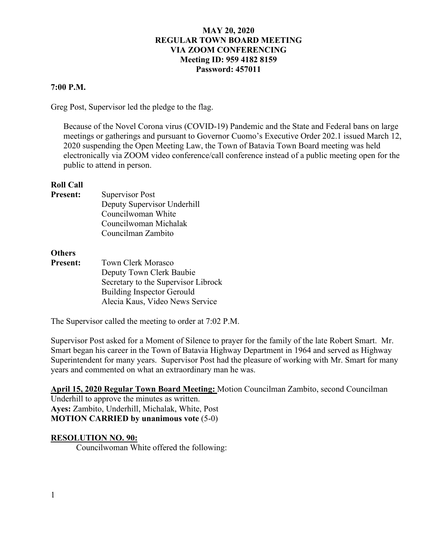## **7:00 P.M.**

Greg Post, Supervisor led the pledge to the flag.

Because of the Novel Corona virus (COVID-19) Pandemic and the State and Federal bans on large meetings or gatherings and pursuant to Governor Cuomo's Executive Order 202.1 issued March 12, 2020 suspending the Open Meeting Law, the Town of Batavia Town Board meeting was held electronically via ZOOM video conference/call conference instead of a public meeting open for the public to attend in person.

### **Roll Call**

| <b>Present:</b> | <b>Supervisor Post</b>      |
|-----------------|-----------------------------|
|                 | Deputy Supervisor Underhill |
|                 | Councilwoman White          |
|                 | Councilwoman Michalak       |
|                 | Councilman Zambito          |
|                 |                             |

### **Others**

**Present:** Town Clerk Morasco Deputy Town Clerk Baubie Secretary to the Supervisor Librock Building Inspector Gerould Alecia Kaus, Video News Service

The Supervisor called the meeting to order at 7:02 P.M.

Supervisor Post asked for a Moment of Silence to prayer for the family of the late Robert Smart. Mr. Smart began his career in the Town of Batavia Highway Department in 1964 and served as Highway Superintendent for many years. Supervisor Post had the pleasure of working with Mr. Smart for many years and commented on what an extraordinary man he was.

**April 15, 2020 Regular Town Board Meeting:** Motion Councilman Zambito, second Councilman Underhill to approve the minutes as written. **Ayes:** Zambito, Underhill, Michalak, White, Post

### **MOTION CARRIED by unanimous vote** (5-0)

### **RESOLUTION NO. 90:**

Councilwoman White offered the following: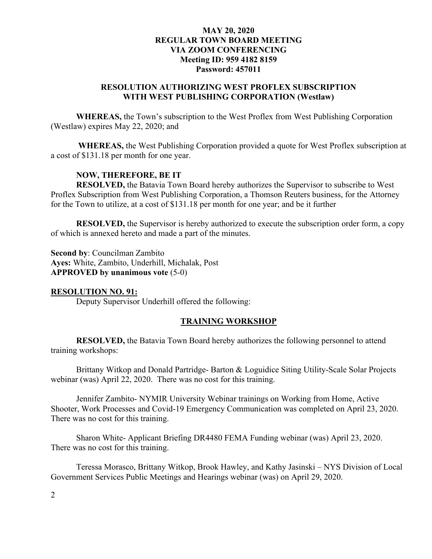# **RESOLUTION AUTHORIZING WEST PROFLEX SUBSCRIPTION WITH WEST PUBLISHING CORPORATION (Westlaw)**

**WHEREAS,** the Town's subscription to the West Proflex from West Publishing Corporation (Westlaw) expires May 22, 2020; and

**WHEREAS,** the West Publishing Corporation provided a quote for West Proflex subscription at a cost of \$131.18 per month for one year.

## **NOW, THEREFORE, BE IT**

**RESOLVED,** the Batavia Town Board hereby authorizes the Supervisor to subscribe to West Proflex Subscription from West Publishing Corporation, a Thomson Reuters business, for the Attorney for the Town to utilize, at a cost of \$131.18 per month for one year; and be it further

**RESOLVED,** the Supervisor is hereby authorized to execute the subscription order form, a copy of which is annexed hereto and made a part of the minutes.

**Second by**: Councilman Zambito **Ayes:** White, Zambito, Underhill, Michalak, Post **APPROVED by unanimous vote** (5-0)

### **RESOLUTION NO. 91:**

Deputy Supervisor Underhill offered the following:

### **TRAINING WORKSHOP**

**RESOLVED,** the Batavia Town Board hereby authorizes the following personnel to attend training workshops:

Brittany Witkop and Donald Partridge- Barton & Loguidice Siting Utility-Scale Solar Projects webinar (was) April 22, 2020. There was no cost for this training.

Jennifer Zambito- NYMIR University Webinar trainings on Working from Home, Active Shooter, Work Processes and Covid-19 Emergency Communication was completed on April 23, 2020. There was no cost for this training.

Sharon White- Applicant Briefing DR4480 FEMA Funding webinar (was) April 23, 2020. There was no cost for this training.

Teressa Morasco, Brittany Witkop, Brook Hawley, and Kathy Jasinski – NYS Division of Local Government Services Public Meetings and Hearings webinar (was) on April 29, 2020.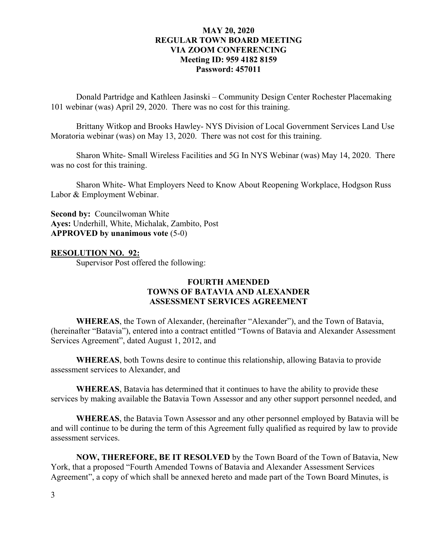Donald Partridge and Kathleen Jasinski – Community Design Center Rochester Placemaking 101 webinar (was) April 29, 2020. There was no cost for this training.

Brittany Witkop and Brooks Hawley- NYS Division of Local Government Services Land Use Moratoria webinar (was) on May 13, 2020. There was not cost for this training.

Sharon White- Small Wireless Facilities and 5G In NYS Webinar (was) May 14, 2020. There was no cost for this training.

Sharon White- What Employers Need to Know About Reopening Workplace, Hodgson Russ Labor & Employment Webinar.

**Second by:** Councilwoman White **Ayes:** Underhill, White, Michalak, Zambito, Post **APPROVED by unanimous vote** (5-0)

### **RESOLUTION NO. 92:**

Supervisor Post offered the following:

# **FOURTH AMENDED TOWNS OF BATAVIA AND ALEXANDER ASSESSMENT SERVICES AGREEMENT**

**WHEREAS**, the Town of Alexander, (hereinafter "Alexander"), and the Town of Batavia, (hereinafter "Batavia"), entered into a contract entitled "Towns of Batavia and Alexander Assessment Services Agreement", dated August 1, 2012, and

**WHEREAS**, both Towns desire to continue this relationship, allowing Batavia to provide assessment services to Alexander, and

**WHEREAS**, Batavia has determined that it continues to have the ability to provide these services by making available the Batavia Town Assessor and any other support personnel needed, and

**WHEREAS**, the Batavia Town Assessor and any other personnel employed by Batavia will be and will continue to be during the term of this Agreement fully qualified as required by law to provide assessment services.

**NOW, THEREFORE, BE IT RESOLVED** by the Town Board of the Town of Batavia, New York, that a proposed "Fourth Amended Towns of Batavia and Alexander Assessment Services Agreement", a copy of which shall be annexed hereto and made part of the Town Board Minutes, is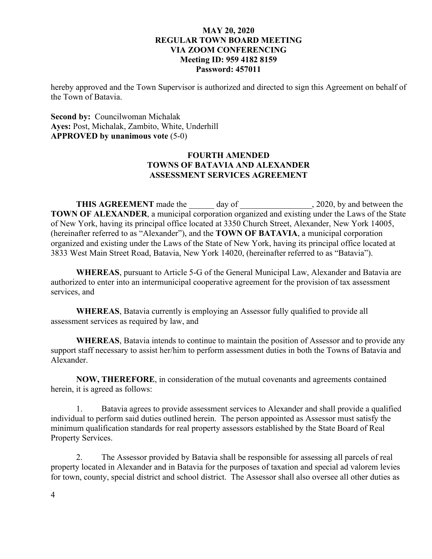hereby approved and the Town Supervisor is authorized and directed to sign this Agreement on behalf of the Town of Batavia.

# **Second by:** Councilwoman Michalak **Ayes:** Post, Michalak, Zambito, White, Underhill **APPROVED by unanimous vote** (5-0)

# **FOURTH AMENDED TOWNS OF BATAVIA AND ALEXANDER ASSESSMENT SERVICES AGREEMENT**

THIS AGREEMENT made the \_\_\_\_\_\_ day of \_\_\_\_\_\_\_\_\_\_\_\_\_\_, 2020, by and between the **TOWN OF ALEXANDER**, a municipal corporation organized and existing under the Laws of the State of New York, having its principal office located at 3350 Church Street, Alexander, New York 14005, (hereinafter referred to as "Alexander"), and the **TOWN OF BATAVIA**, a municipal corporation organized and existing under the Laws of the State of New York, having its principal office located at 3833 West Main Street Road, Batavia, New York 14020, (hereinafter referred to as "Batavia").

**WHEREAS**, pursuant to Article 5-G of the General Municipal Law, Alexander and Batavia are authorized to enter into an intermunicipal cooperative agreement for the provision of tax assessment services, and

**WHEREAS**, Batavia currently is employing an Assessor fully qualified to provide all assessment services as required by law, and

**WHEREAS**, Batavia intends to continue to maintain the position of Assessor and to provide any support staff necessary to assist her/him to perform assessment duties in both the Towns of Batavia and Alexander.

**NOW, THEREFORE**, in consideration of the mutual covenants and agreements contained herein, it is agreed as follows:

1. Batavia agrees to provide assessment services to Alexander and shall provide a qualified individual to perform said duties outlined herein. The person appointed as Assessor must satisfy the minimum qualification standards for real property assessors established by the State Board of Real Property Services.

2. The Assessor provided by Batavia shall be responsible for assessing all parcels of real property located in Alexander and in Batavia for the purposes of taxation and special ad valorem levies for town, county, special district and school district. The Assessor shall also oversee all other duties as

4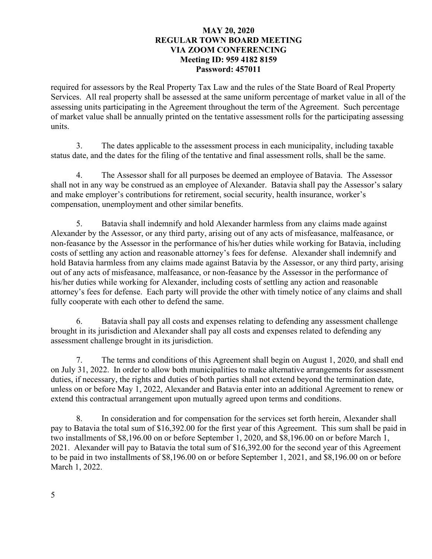required for assessors by the Real Property Tax Law and the rules of the State Board of Real Property Services. All real property shall be assessed at the same uniform percentage of market value in all of the assessing units participating in the Agreement throughout the term of the Agreement. Such percentage of market value shall be annually printed on the tentative assessment rolls for the participating assessing units.

3. The dates applicable to the assessment process in each municipality, including taxable status date, and the dates for the filing of the tentative and final assessment rolls, shall be the same.

4. The Assessor shall for all purposes be deemed an employee of Batavia. The Assessor shall not in any way be construed as an employee of Alexander. Batavia shall pay the Assessor's salary and make employer's contributions for retirement, social security, health insurance, worker's compensation, unemployment and other similar benefits.

5. Batavia shall indemnify and hold Alexander harmless from any claims made against Alexander by the Assessor, or any third party, arising out of any acts of misfeasance, malfeasance, or non-feasance by the Assessor in the performance of his/her duties while working for Batavia, including costs of settling any action and reasonable attorney's fees for defense. Alexander shall indemnify and hold Batavia harmless from any claims made against Batavia by the Assessor, or any third party, arising out of any acts of misfeasance, malfeasance, or non-feasance by the Assessor in the performance of his/her duties while working for Alexander, including costs of settling any action and reasonable attorney's fees for defense. Each party will provide the other with timely notice of any claims and shall fully cooperate with each other to defend the same.

6. Batavia shall pay all costs and expenses relating to defending any assessment challenge brought in its jurisdiction and Alexander shall pay all costs and expenses related to defending any assessment challenge brought in its jurisdiction.

7. The terms and conditions of this Agreement shall begin on August 1, 2020, and shall end on July 31, 2022. In order to allow both municipalities to make alternative arrangements for assessment duties, if necessary, the rights and duties of both parties shall not extend beyond the termination date, unless on or before May 1, 2022, Alexander and Batavia enter into an additional Agreement to renew or extend this contractual arrangement upon mutually agreed upon terms and conditions.

8. In consideration and for compensation for the services set forth herein, Alexander shall pay to Batavia the total sum of \$16,392.00 for the first year of this Agreement. This sum shall be paid in two installments of \$8,196.00 on or before September 1, 2020, and \$8,196.00 on or before March 1, 2021. Alexander will pay to Batavia the total sum of \$16,392.00 for the second year of this Agreement to be paid in two installments of \$8,196.00 on or before September 1, 2021, and \$8,196.00 on or before March 1, 2022.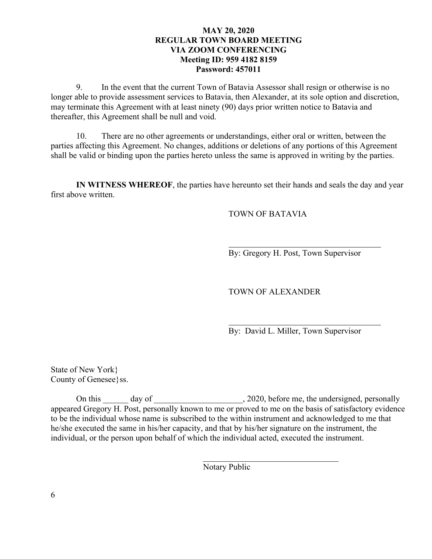9. In the event that the current Town of Batavia Assessor shall resign or otherwise is no longer able to provide assessment services to Batavia, then Alexander, at its sole option and discretion, may terminate this Agreement with at least ninety (90) days prior written notice to Batavia and thereafter, this Agreement shall be null and void.

10. There are no other agreements or understandings, either oral or written, between the parties affecting this Agreement. No changes, additions or deletions of any portions of this Agreement shall be valid or binding upon the parties hereto unless the same is approved in writing by the parties.

**IN WITNESS WHEREOF**, the parties have hereunto set their hands and seals the day and year first above written.

TOWN OF BATAVIA

By: Gregory H. Post, Town Supervisor

TOWN OF ALEXANDER

 $\mathcal{L}_\text{max}$  , where  $\mathcal{L}_\text{max}$  and  $\mathcal{L}_\text{max}$  and  $\mathcal{L}_\text{max}$ 

By: David L. Miller, Town Supervisor

State of New York} County of Genesee}ss.

On this day of day  $\frac{1}{2020}$ , before me, the undersigned, personally appeared Gregory H. Post, personally known to me or proved to me on the basis of satisfactory evidence to be the individual whose name is subscribed to the within instrument and acknowledged to me that he/she executed the same in his/her capacity, and that by his/her signature on the instrument, the individual, or the person upon behalf of which the individual acted, executed the instrument.

Notary Public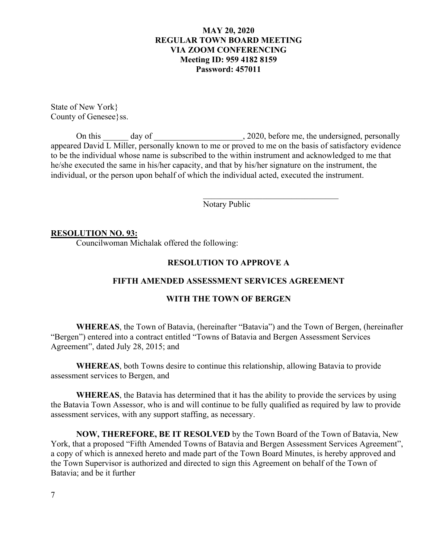State of New York} County of Genesee}ss.

On this \_\_\_\_\_\_ day of \_\_\_\_\_\_\_\_\_\_\_\_\_\_\_\_\_\_\_\_\_, 2020, before me, the undersigned, personally appeared David L Miller, personally known to me or proved to me on the basis of satisfactory evidence to be the individual whose name is subscribed to the within instrument and acknowledged to me that he/she executed the same in his/her capacity, and that by his/her signature on the instrument, the individual, or the person upon behalf of which the individual acted, executed the instrument.

Notary Public

### **RESOLUTION NO. 93:**

Councilwoman Michalak offered the following:

### **RESOLUTION TO APPROVE A**

# **FIFTH AMENDED ASSESSMENT SERVICES AGREEMENT**

### **WITH THE TOWN OF BERGEN**

**WHEREAS**, the Town of Batavia, (hereinafter "Batavia") and the Town of Bergen, (hereinafter "Bergen") entered into a contract entitled "Towns of Batavia and Bergen Assessment Services Agreement", dated July 28, 2015; and

**WHEREAS**, both Towns desire to continue this relationship, allowing Batavia to provide assessment services to Bergen, and

**WHEREAS**, the Batavia has determined that it has the ability to provide the services by using the Batavia Town Assessor, who is and will continue to be fully qualified as required by law to provide assessment services, with any support staffing, as necessary.

**NOW, THEREFORE, BE IT RESOLVED** by the Town Board of the Town of Batavia, New York, that a proposed "Fifth Amended Towns of Batavia and Bergen Assessment Services Agreement", a copy of which is annexed hereto and made part of the Town Board Minutes, is hereby approved and the Town Supervisor is authorized and directed to sign this Agreement on behalf of the Town of Batavia; and be it further

7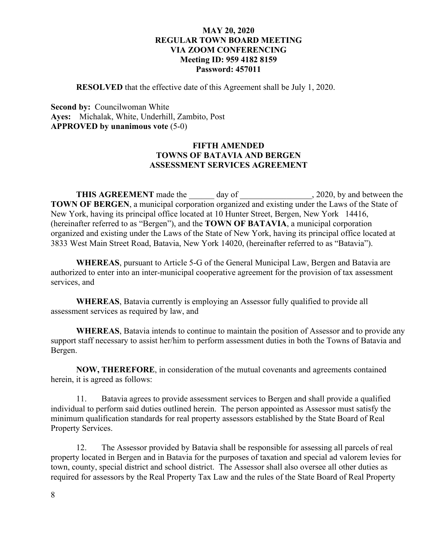**RESOLVED** that the effective date of this Agreement shall be July 1, 2020.

**Second by: Councilwoman White Ayes:** Michalak, White, Underhill, Zambito, Post **APPROVED by unanimous vote** (5-0)

## **FIFTH AMENDED TOWNS OF BATAVIA AND BERGEN ASSESSMENT SERVICES AGREEMENT**

**THIS AGREEMENT** made the day of , 2020, by and between the **TOWN OF BERGEN**, a municipal corporation organized and existing under the Laws of the State of New York, having its principal office located at 10 Hunter Street, Bergen, New York 14416, (hereinafter referred to as "Bergen"), and the **TOWN OF BATAVIA**, a municipal corporation organized and existing under the Laws of the State of New York, having its principal office located at 3833 West Main Street Road, Batavia, New York 14020, (hereinafter referred to as "Batavia").

**WHEREAS**, pursuant to Article 5-G of the General Municipal Law, Bergen and Batavia are authorized to enter into an inter-municipal cooperative agreement for the provision of tax assessment services, and

**WHEREAS**, Batavia currently is employing an Assessor fully qualified to provide all assessment services as required by law, and

**WHEREAS**, Batavia intends to continue to maintain the position of Assessor and to provide any support staff necessary to assist her/him to perform assessment duties in both the Towns of Batavia and Bergen.

**NOW, THEREFORE**, in consideration of the mutual covenants and agreements contained herein, it is agreed as follows:

11. Batavia agrees to provide assessment services to Bergen and shall provide a qualified individual to perform said duties outlined herein. The person appointed as Assessor must satisfy the minimum qualification standards for real property assessors established by the State Board of Real Property Services.

12. The Assessor provided by Batavia shall be responsible for assessing all parcels of real property located in Bergen and in Batavia for the purposes of taxation and special ad valorem levies for town, county, special district and school district. The Assessor shall also oversee all other duties as required for assessors by the Real Property Tax Law and the rules of the State Board of Real Property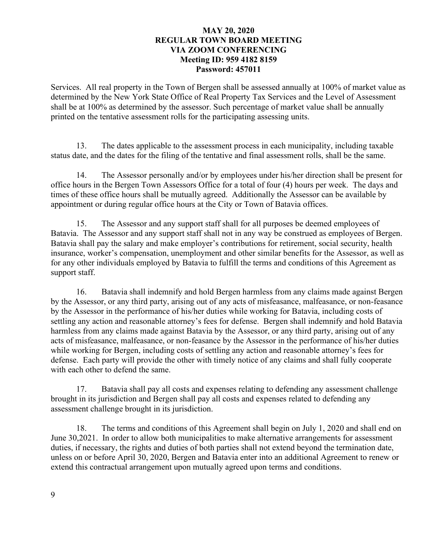Services. All real property in the Town of Bergen shall be assessed annually at 100% of market value as determined by the New York State Office of Real Property Tax Services and the Level of Assessment shall be at 100% as determined by the assessor. Such percentage of market value shall be annually printed on the tentative assessment rolls for the participating assessing units.

13. The dates applicable to the assessment process in each municipality, including taxable status date, and the dates for the filing of the tentative and final assessment rolls, shall be the same.

14. The Assessor personally and/or by employees under his/her direction shall be present for office hours in the Bergen Town Assessors Office for a total of four (4) hours per week. The days and times of these office hours shall be mutually agreed. Additionally the Assessor can be available by appointment or during regular office hours at the City or Town of Batavia offices.

15. The Assessor and any support staff shall for all purposes be deemed employees of Batavia. The Assessor and any support staff shall not in any way be construed as employees of Bergen. Batavia shall pay the salary and make employer's contributions for retirement, social security, health insurance, worker's compensation, unemployment and other similar benefits for the Assessor, as well as for any other individuals employed by Batavia to fulfill the terms and conditions of this Agreement as support staff.

16. Batavia shall indemnify and hold Bergen harmless from any claims made against Bergen by the Assessor, or any third party, arising out of any acts of misfeasance, malfeasance, or non-feasance by the Assessor in the performance of his/her duties while working for Batavia, including costs of settling any action and reasonable attorney's fees for defense. Bergen shall indemnify and hold Batavia harmless from any claims made against Batavia by the Assessor, or any third party, arising out of any acts of misfeasance, malfeasance, or non-feasance by the Assessor in the performance of his/her duties while working for Bergen, including costs of settling any action and reasonable attorney's fees for defense. Each party will provide the other with timely notice of any claims and shall fully cooperate with each other to defend the same.

17. Batavia shall pay all costs and expenses relating to defending any assessment challenge brought in its jurisdiction and Bergen shall pay all costs and expenses related to defending any assessment challenge brought in its jurisdiction.

18. The terms and conditions of this Agreement shall begin on July 1, 2020 and shall end on June 30,2021. In order to allow both municipalities to make alternative arrangements for assessment duties, if necessary, the rights and duties of both parties shall not extend beyond the termination date, unless on or before April 30, 2020, Bergen and Batavia enter into an additional Agreement to renew or extend this contractual arrangement upon mutually agreed upon terms and conditions.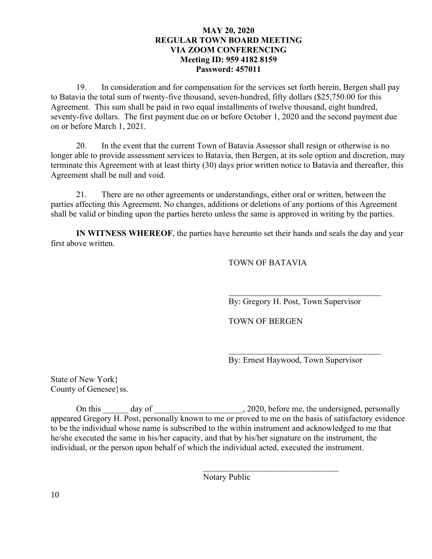19. In consideration and for compensation for the services set forth herein, Bergen shall pay to Batavia the total sum of twenty-five thousand, seven-hundred, fifty dollars (\$25,750.00 for this Agreement. This sum shall be paid in two equal installments of twelve thousand, eight hundred, seventy-five dollars. The first payment due on or before October 1, 2020 and the second payment due on or before March 1, 2021.

20. In the event that the current Town of Batavia Assessor shall resign or otherwise is no longer able to provide assessment services to Batavia, then Bergen, at its sole option and discretion, may terminate this Agreement with at least thirty (30) days prior written notice to Batavia and thereafter, this Agreement shall be null and void.

21. There are no other agreements or understandings, either oral or written, between the parties affecting this Agreement. No changes, additions or deletions of any portions of this Agreement shall be valid or binding upon the parties hereto unless the same is approved in writing by the parties.

**IN WITNESS WHEREOF**, the parties have hereunto set their hands and seals the day and year first above written.

# TOWN OF BATAVIA

By: Gregory H. Post, Town Supervisor

TOWN OF BERGEN

By: Ernest Haywood, Town Supervisor

State of New York} County of Genesee ss.

On this \_\_\_\_\_\_ day of \_\_\_\_\_\_\_\_\_\_\_\_\_\_\_\_\_\_\_, 2020, before me, the undersigned, personally appeared Gregory H. Post, personally known to me or proved to me on the basis of satisfactory evidence to be the individual whose name is subscribed to the within instrument and acknowledged to me that he/she executed the same in his/her capacity, and that by his/her signature on the instrument, the individual, or the person upon behalf of which the individual acted, executed the instrument.

Notary Public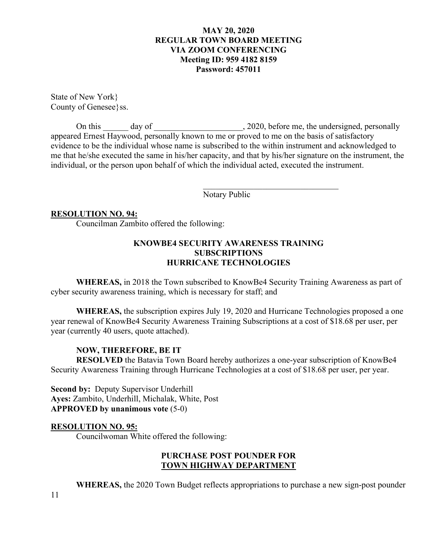State of New York} County of Genesee}ss.

On this \_\_\_\_\_\_ day of \_\_\_\_\_\_\_\_\_\_\_\_\_\_\_\_\_\_\_\_, 2020, before me, the undersigned, personally appeared Ernest Haywood, personally known to me or proved to me on the basis of satisfactory evidence to be the individual whose name is subscribed to the within instrument and acknowledged to me that he/she executed the same in his/her capacity, and that by his/her signature on the instrument, the individual, or the person upon behalf of which the individual acted, executed the instrument.

Notary Public

 $\overline{\phantom{a}}$ 

### **RESOLUTION NO. 94:**

Councilman Zambito offered the following:

## **KNOWBE4 SECURITY AWARENESS TRAINING SUBSCRIPTIONS HURRICANE TECHNOLOGIES**

**WHEREAS,** in 2018 the Town subscribed to KnowBe4 Security Training Awareness as part of cyber security awareness training, which is necessary for staff; and

**WHEREAS,** the subscription expires July 19, 2020 and Hurricane Technologies proposed a one year renewal of KnowBe4 Security Awareness Training Subscriptions at a cost of \$18.68 per user, per year (currently 40 users, quote attached).

## **NOW, THEREFORE, BE IT**

**RESOLVED** the Batavia Town Board hereby authorizes a one-year subscription of KnowBe4 Security Awareness Training through Hurricane Technologies at a cost of \$18.68 per user, per year.

**Second by:** Deputy Supervisor Underhill **Ayes:** Zambito, Underhill, Michalak, White, Post **APPROVED by unanimous vote** (5-0)

### **RESOLUTION NO. 95:**

Councilwoman White offered the following:

# **PURCHASE POST POUNDER FOR TOWN HIGHWAY DEPARTMENT**

**WHEREAS,** the 2020 Town Budget reflects appropriations to purchase a new sign-post pounder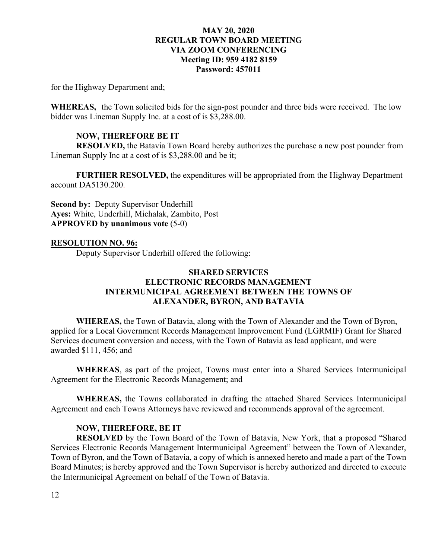for the Highway Department and;

**WHEREAS,** the Town solicited bids for the sign-post pounder and three bids were received. The low bidder was Lineman Supply Inc. at a cost of is \$3,288.00.

## **NOW, THEREFORE BE IT**

**RESOLVED,** the Batavia Town Board hereby authorizes the purchase a new post pounder from Lineman Supply Inc at a cost of is \$3,288.00 and be it;

**FURTHER RESOLVED,** the expenditures will be appropriated from the Highway Department account DA5130.200.

**Second by:** Deputy Supervisor Underhill **Ayes:** White, Underhill, Michalak, Zambito, Post **APPROVED by unanimous vote** (5-0)

### **RESOLUTION NO. 96:**

Deputy Supervisor Underhill offered the following:

# **SHARED SERVICES ELECTRONIC RECORDS MANAGEMENT INTERMUNICIPAL AGREEMENT BETWEEN THE TOWNS OF ALEXANDER, BYRON, AND BATAVIA**

**WHEREAS,** the Town of Batavia, along with the Town of Alexander and the Town of Byron, applied for a Local Government Records Management Improvement Fund (LGRMIF) Grant for Shared Services document conversion and access, with the Town of Batavia as lead applicant, and were awarded \$111, 456; and

**WHEREAS**, as part of the project, Towns must enter into a Shared Services Intermunicipal Agreement for the Electronic Records Management; and

**WHEREAS,** the Towns collaborated in drafting the attached Shared Services Intermunicipal Agreement and each Towns Attorneys have reviewed and recommends approval of the agreement.

## **NOW, THEREFORE, BE IT**

**RESOLVED** by the Town Board of the Town of Batavia, New York, that a proposed "Shared Services Electronic Records Management Intermunicipal Agreement" between the Town of Alexander, Town of Byron, and the Town of Batavia, a copy of which is annexed hereto and made a part of the Town Board Minutes; is hereby approved and the Town Supervisor is hereby authorized and directed to execute the Intermunicipal Agreement on behalf of the Town of Batavia.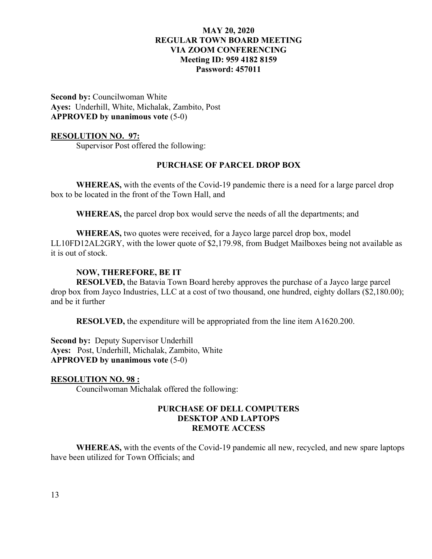**Second by:** Councilwoman White **Ayes:** Underhill, White, Michalak, Zambito, Post **APPROVED by unanimous vote** (5-0)

### **RESOLUTION NO. 97:**

Supervisor Post offered the following:

### **PURCHASE OF PARCEL DROP BOX**

**WHEREAS,** with the events of the Covid-19 pandemic there is a need for a large parcel drop box to be located in the front of the Town Hall, and

**WHEREAS,** the parcel drop box would serve the needs of all the departments; and

**WHEREAS,** two quotes were received, for a Jayco large parcel drop box, model LL10FD12AL2GRY, with the lower quote of \$2,179.98, from Budget Mailboxes being not available as it is out of stock.

### **NOW, THEREFORE, BE IT**

**RESOLVED,** the Batavia Town Board hereby approves the purchase of a Jayco large parcel drop box from Jayco Industries, LLC at a cost of two thousand, one hundred, eighty dollars (\$2,180.00); and be it further

**RESOLVED,** the expenditure will be appropriated from the line item A1620.200.

**Second by:** Deputy Supervisor Underhill **Ayes:** Post, Underhill, Michalak, Zambito, White **APPROVED by unanimous vote** (5-0)

### **RESOLUTION NO. 98 :**

Councilwoman Michalak offered the following:

### **PURCHASE OF DELL COMPUTERS DESKTOP AND LAPTOPS REMOTE ACCESS**

**WHEREAS,** with the events of the Covid-19 pandemic all new, recycled, and new spare laptops have been utilized for Town Officials; and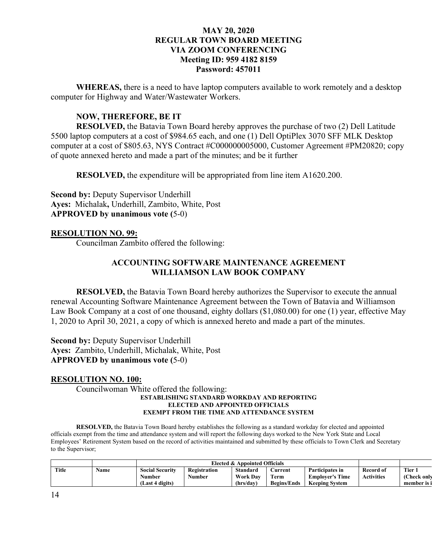**WHEREAS,** there is a need to have laptop computers available to work remotely and a desktop computer for Highway and Water/Wastewater Workers.

# **NOW, THEREFORE, BE IT**

**RESOLVED,** the Batavia Town Board hereby approves the purchase of two (2) Dell Latitude 5500 laptop computers at a cost of \$984.65 each, and one (1) Dell OptiPlex 3070 SFF MLK Desktop computer at a cost of \$805.63, NYS Contract #C000000005000, Customer Agreement #PM20820; copy of quote annexed hereto and made a part of the minutes; and be it further

**RESOLVED,** the expenditure will be appropriated from line item A1620.200.

**Second by:** Deputy Supervisor Underhill **Ayes:** Michalak**,** Underhill, Zambito, White, Post **APPROVED by unanimous vote (**5-0)

## **RESOLUTION NO. 99:**

Councilman Zambito offered the following:

# **ACCOUNTING SOFTWARE MAINTENANCE AGREEMENT WILLIAMSON LAW BOOK COMPANY**

**RESOLVED,** the Batavia Town Board hereby authorizes the Supervisor to execute the annual renewal Accounting Software Maintenance Agreement between the Town of Batavia and Williamson Law Book Company at a cost of one thousand, eighty dollars (\$1,080.00) for one (1) year, effective May 1, 2020 to April 30, 2021, a copy of which is annexed hereto and made a part of the minutes.

**Second by: Deputy Supervisor Underhill Ayes:** Zambito, Underhill, Michalak, White, Post **APPROVED by unanimous vote (**5-0)

### **RESOLUTION NO. 100:**

 Councilwoman White offered the following: **ESTABLISHING STANDARD WORKDAY AND REPORTING ELECTED AND APPOINTED OFFICIALS EXEMPT FROM THE TIME AND ATTENDANCE SYSTEM**

**RESOLVED,** the Batavia Town Board hereby establishes the following as a standard workday for elected and appointed officials exempt from the time and attendance system and will report the following days worked to the New York State and Local Employees' Retirement System based on the record of activities maintained and submitted by these officials to Town Clerk and Secretary to the Supervisor;

|       |      | Elected & Appointed Officials |              |                 |                    |                        |                   |                   |
|-------|------|-------------------------------|--------------|-----------------|--------------------|------------------------|-------------------|-------------------|
| Title | Name | <b>Social Security</b>        | Registration | Standard        | .\urrent           | Participates in        | Record of         | Tier.             |
|       |      | Number                        | Number       | <b>Work Dav</b> | Term               | <b>Employer's Time</b> | <b>Activities</b> | <b>Check only</b> |
|       |      | Last 4 digits)                |              | (hrs/day)       | <b>Begins/Ends</b> | <b>Keeping System</b>  |                   | member is i       |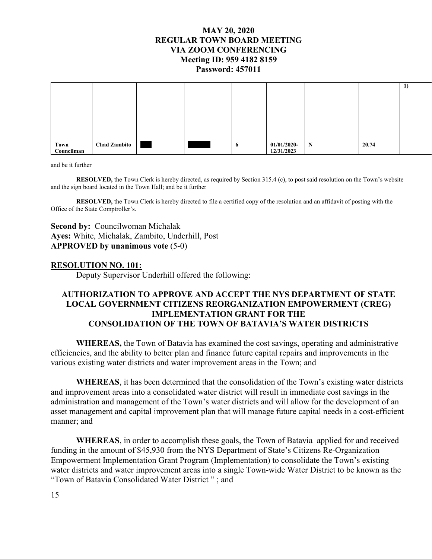|            |                     |  |              |                |   |       | $\mathbf{1}$ |
|------------|---------------------|--|--------------|----------------|---|-------|--------------|
|            |                     |  |              |                |   |       |              |
|            |                     |  |              |                |   |       |              |
|            |                     |  |              |                |   |       |              |
|            |                     |  |              |                |   |       |              |
|            |                     |  |              |                |   |       |              |
|            |                     |  |              |                |   |       |              |
|            |                     |  |              |                |   |       |              |
| Town       | <b>Chad Zambito</b> |  | $\mathbf{o}$ | $01/01/2020$ - | N | 20.74 |              |
| Councilman |                     |  |              | 12/31/2023     |   |       |              |

and be it further

**RESOLVED,** the Town Clerk is hereby directed, as required by Section 315.4 (c), to post said resolution on the Town's website and the sign board located in the Town Hall; and be it further

**RESOLVED,** the Town Clerk is hereby directed to file a certified copy of the resolution and an affidavit of posting with the Office of the State Comptroller's.

**Second by:** Councilwoman Michalak **Ayes:** White, Michalak, Zambito, Underhill, Post **APPROVED by unanimous vote** (5-0)

### **RESOLUTION NO. 101:**

Deputy Supervisor Underhill offered the following:

# **AUTHORIZATION TO APPROVE AND ACCEPT THE NYS DEPARTMENT OF STATE LOCAL GOVERNMENT CITIZENS REORGANIZATION EMPOWERMENT (CREG) IMPLEMENTATION GRANT FOR THE CONSOLIDATION OF THE TOWN OF BATAVIA'S WATER DISTRICTS**

**WHEREAS,** the Town of Batavia has examined the cost savings, operating and administrative efficiencies, and the ability to better plan and finance future capital repairs and improvements in the various existing water districts and water improvement areas in the Town; and

**WHEREAS**, it has been determined that the consolidation of the Town's existing water districts and improvement areas into a consolidated water district will result in immediate cost savings in the administration and management of the Town's water districts and will allow for the development of an asset management and capital improvement plan that will manage future capital needs in a cost-efficient manner; and

**WHEREAS**, in order to accomplish these goals, the Town of Batavia applied for and received funding in the amount of \$45,930 from the NYS Department of State's Citizens Re-Organization Empowerment Implementation Grant Program (Implementation) to consolidate the Town's existing water districts and water improvement areas into a single Town-wide Water District to be known as the "Town of Batavia Consolidated Water District " ; and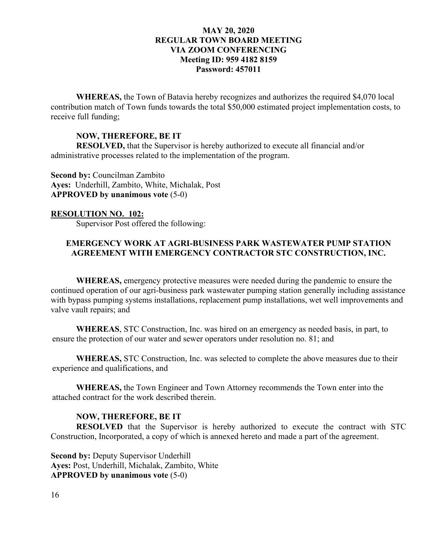**WHEREAS,** the Town of Batavia hereby recognizes and authorizes the required \$4,070 local contribution match of Town funds towards the total \$50,000 estimated project implementation costs, to receive full funding;

### **NOW, THEREFORE, BE IT**

**RESOLVED,** that the Supervisor is hereby authorized to execute all financial and/or administrative processes related to the implementation of the program.

**Second by:** Councilman Zambito **Ayes:** Underhill, Zambito, White, Michalak, Post **APPROVED by unanimous vote** (5-0)

## **RESOLUTION NO. 102:**

Supervisor Post offered the following:

# **EMERGENCY WORK AT AGRI-BUSINESS PARK WASTEWATER PUMP STATION AGREEMENT WITH EMERGENCY CONTRACTOR STC CONSTRUCTION, INC.**

**WHEREAS,** emergency protective measures were needed during the pandemic to ensure the continued operation of our agri-business park wastewater pumping station generally including assistance with bypass pumping systems installations, replacement pump installations, wet well improvements and valve vault repairs; and

**WHEREAS**, STC Construction, Inc. was hired on an emergency as needed basis, in part, to ensure the protection of our water and sewer operators under resolution no. 81; and

**WHEREAS,** STC Construction, Inc. was selected to complete the above measures due to their experience and qualifications, and

**WHEREAS,** the Town Engineer and Town Attorney recommends the Town enter into the attached contract for the work described therein.

### **NOW, THEREFORE, BE IT**

**RESOLVED** that the Supervisor is hereby authorized to execute the contract with STC Construction, Incorporated, a copy of which is annexed hereto and made a part of the agreement.

**Second by:** Deputy Supervisor Underhill **Ayes:** Post, Underhill, Michalak, Zambito, White **APPROVED by unanimous vote** (5-0)

16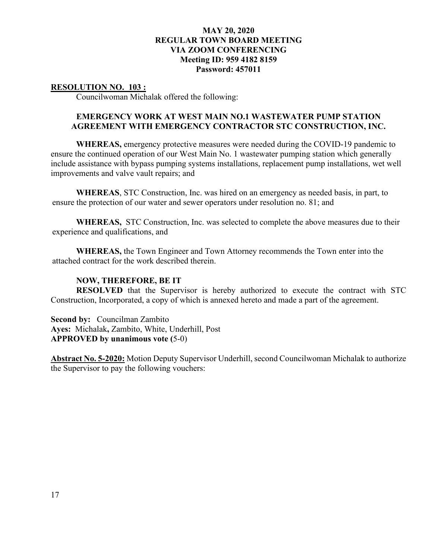### **RESOLUTION NO. 103 :**

Councilwoman Michalak offered the following:

# **EMERGENCY WORK AT WEST MAIN NO.1 WASTEWATER PUMP STATION AGREEMENT WITH EMERGENCY CONTRACTOR STC CONSTRUCTION, INC.**

**WHEREAS,** emergency protective measures were needed during the COVID-19 pandemic to ensure the continued operation of our West Main No. 1 wastewater pumping station which generally include assistance with bypass pumping systems installations, replacement pump installations, wet well improvements and valve vault repairs; and

**WHEREAS**, STC Construction, Inc. was hired on an emergency as needed basis, in part, to ensure the protection of our water and sewer operators under resolution no. 81; and

**WHEREAS,** STC Construction, Inc. was selected to complete the above measures due to their experience and qualifications, and

**WHEREAS,** the Town Engineer and Town Attorney recommends the Town enter into the attached contract for the work described therein.

### **NOW, THEREFORE, BE IT**

**RESOLVED** that the Supervisor is hereby authorized to execute the contract with STC Construction, Incorporated, a copy of which is annexed hereto and made a part of the agreement.

**Second by:** Councilman Zambito **Ayes:** Michalak**,** Zambito, White, Underhill, Post **APPROVED by unanimous vote (**5-0)

**Abstract No. 5-2020:** Motion Deputy Supervisor Underhill, second Councilwoman Michalak to authorize the Supervisor to pay the following vouchers: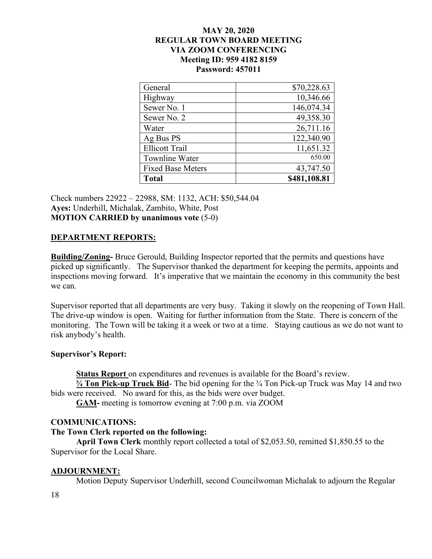| General                  | \$70,228.63  |
|--------------------------|--------------|
| Highway                  | 10,346.66    |
| Sewer No. 1              | 146,074.34   |
| Sewer No. 2              | 49,358.30    |
| Water                    | 26,711.16    |
| Ag Bus PS                | 122,340.90   |
| <b>Ellicott Trail</b>    | 11,651.32    |
| Townline Water           | 650.00       |
| <b>Fixed Base Meters</b> | 43,747.50    |
| <b>Total</b>             | \$481,108.81 |

Check numbers 22922 – 22988, SM: 1132, ACH: \$50,544.04 **Ayes:** Underhill, Michalak, Zambito, White, Post **MOTION CARRIED by unanimous vote** (5-0)

## **DEPARTMENT REPORTS:**

**Building/Zoning-** Bruce Gerould, Building Inspector reported that the permits and questions have picked up significantly. The Supervisor thanked the department for keeping the permits, appoints and inspections moving forward. It's imperative that we maintain the economy in this community the best we can.

Supervisor reported that all departments are very busy. Taking it slowly on the reopening of Town Hall. The drive-up window is open. Waiting for further information from the State. There is concern of the monitoring. The Town will be taking it a week or two at a time. Staying cautious as we do not want to risk anybody's health.

## **Supervisor's Report:**

**Status Report** on expenditures and revenues is available for the Board's review.

**¾ Ton Pick-up Truck Bid**- The bid opening for the ¾ Ton Pick-up Truck was May 14 and two bids were received. No award for this, as the bids were over budget.

**GAM-** meeting is tomorrow evening at 7:00 p.m. via ZOOM

## **COMMUNICATIONS:**

## **The Town Clerk reported on the following:**

**April Town Clerk** monthly report collected a total of \$2,053.50, remitted \$1,850.55 to the Supervisor for the Local Share.

## **ADJOURNMENT:**

Motion Deputy Supervisor Underhill, second Councilwoman Michalak to adjourn the Regular